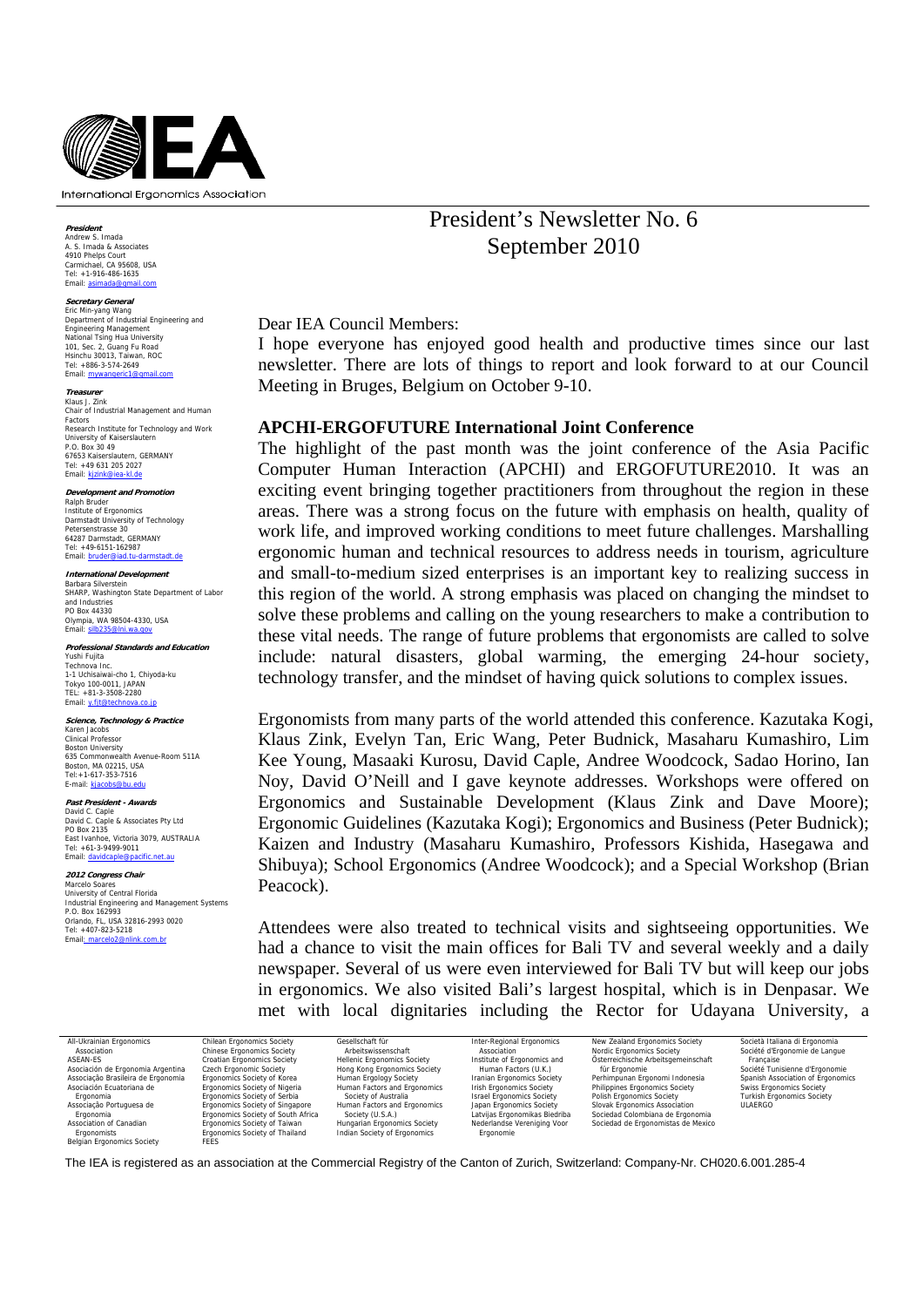

**President** Andrew S. Imada A. S. Imada & Associates

4910 Phelps Court<br>Carmichael, CA 95608, USA<br>Tel: +1-916-486-1635<br>Email: asimada@gmail.com

#### **Secretary General**

Eric Min-yang Wang Department of Industrial Engineering and Engineering Management National Tsing Hua University 101, Sec. 2, Guang Fu Road Hsinchu 30013, Taiwan, ROC Tel: +886-3-574-2649 Tel: 1000

**Treasurer** Klaus J. Zink Chair of Industrial Management and Human Factors Research Institute for Technology and Work University of Kaiserslautern P.O. Box 30 49 67653 Kaiserslautern, GERMANY Tel: +49 631 205 2027<br>Email: <u>kjzink@iea-kl.de</u>

**Development and Promotion** Ralph Bruder Institute of Ergonomics Darmstadt University of Technology Petersenstrasse 30 64287 Darmstadt, GERMANY Tel: +49-6151-162987<br>Email: hruder@iad.tu-d ...<br>nail: <mark>bruc</mark>

**International Development** Barbara Silverstein SHARP, Washington State Department of Labor and Industries PO Box 44330 Olympia, WA 98504-4330, USA Email: silb235@lni.wa.gov

**Professional Standards and Education**  Yushi Fujita Technova Inc. 1-1 Uchisaiwai-cho 1, Chiyoda-ku Tokyo 100-0011, JAPAN TEL: +81-3-3508-2280 Email: y.fjt

**Science, Technology & Practice** Karen Jacobs Clinical Professor Boston University 635 Commonwealth Avenue-Room 511A Boston, MA 02215, USA<br>Tel:+1-617-353-7516<br>E-mail: kjacobs@bu.edu

**Past President - Awards** David C. Caple David C. Caple & Associates Pty Ltd PO Box 2135 East Ivanhoe, Victoria 3079, AUSTRALIA Tel: +61-3-9499-9011 Email: davidcaple

**2012 Congress Chair** Marcelo Soares University of Central Florida Industrial Engineering and Management Systems P.O. Box 162993 Orlando, FL, USA 32816-2993 0020 Tel: +407-823-5218<br>Email: marcelo2@nlink.com.br Email: marc

President's Newsletter No. 6 September 2010

Dear IEA Council Members:

I hope everyone has enjoyed good health and productive times since our last newsletter. There are lots of things to report and look forward to at our Council Meeting in Bruges, Belgium on October 9-10.

### **APCHI-ERGOFUTURE International Joint Conference**

The highlight of the past month was the joint conference of the Asia Pacific Computer Human Interaction (APCHI) and ERGOFUTURE2010. It was an exciting event bringing together practitioners from throughout the region in these areas. There was a strong focus on the future with emphasis on health, quality of work life, and improved working conditions to meet future challenges. Marshalling ergonomic human and technical resources to address needs in tourism, agriculture and small-to-medium sized enterprises is an important key to realizing success in this region of the world. A strong emphasis was placed on changing the mindset to solve these problems and calling on the young researchers to make a contribution to these vital needs. The range of future problems that ergonomists are called to solve include: natural disasters, global warming, the emerging 24-hour society, technology transfer, and the mindset of having quick solutions to complex issues.

Ergonomists from many parts of the world attended this conference. Kazutaka Kogi, Klaus Zink, Evelyn Tan, Eric Wang, Peter Budnick, Masaharu Kumashiro, Lim Kee Young, Masaaki Kurosu, David Caple, Andree Woodcock, Sadao Horino, Ian Noy, David O'Neill and I gave keynote addresses. Workshops were offered on Ergonomics and Sustainable Development (Klaus Zink and Dave Moore); Ergonomic Guidelines (Kazutaka Kogi); Ergonomics and Business (Peter Budnick); Kaizen and Industry (Masaharu Kumashiro, Professors Kishida, Hasegawa and Shibuya); School Ergonomics (Andree Woodcock); and a Special Workshop (Brian Peacock).

Attendees were also treated to technical visits and sightseeing opportunities. We had a chance to visit the main offices for Bali TV and several weekly and a daily newspaper. Several of us were even interviewed for Bali TV but will keep our jobs in ergonomics. We also visited Bali's largest hospital, which is in Denpasar. We met with local dignitaries including the Rector for Udayana University, a

| All-Ukrainian Ergonomics           | Chilean Ergonomics Society         | Gesellschaft für                   | Inter-Regional Ergonomics         | New Zealand Ergonomics Society      | Società Italiana di Ergonomia     |
|------------------------------------|------------------------------------|------------------------------------|-----------------------------------|-------------------------------------|-----------------------------------|
| Association                        | <b>Chinese Ergonomics Society</b>  | Arbeitswissenschaft                | Association                       | Nordic Ergonomics Society           | Société d'Ergonomie de Langue     |
| ASEAN-ES                           | Croatian Ergonomics Society        | <b>Hellenic Ergonomics Society</b> | Institute of Ergonomics and       | Österreichische Arbeitsgemeinschaft | Francaise                         |
| Asociación de Ergonomia Argentina  | Czech Ergonomic Society            | Hong Kong Ergonomics Society       | Human Factors (U.K.)              | für Ergonomie                       | Société Tunisienne d'Ergonomie    |
| Associação Brasileira de Ergonomia | Ergonomics Society of Korea        | Human Ergology Society             | <b>Iranian Ergonomics Society</b> | Perhimpunan Ergonomi Indonesia      | Spanish Association of Ergonomics |
| Asociación Ecuatoriana de          | Ergonomics Society of Nigeria      | Human Factors and Ergonomics       | <b>Irish Ergonomics Society</b>   | Philippines Ergonomics Society      | <b>Swiss Ergonomics Society</b>   |
| Ergonomia                          | Ergonomics Society of Serbia       | Society of Australia               | <b>Israel Ergonomics Society</b>  | Polish Ergonomics Society           | <b>Turkish Ergonomics Society</b> |
| Associação Portuguesa de           | Ergonomics Society of Singapore    | Human Factors and Ergonomics       | Japan Ergonomics Society          | Slovak Ergonomics Association       | <b>ULAERGO</b>                    |
| Ergonomia                          | Ergonomics Society of South Africa | Society (U.S.A.)                   | Latvijas Ergonomikas Biedriba     | Sociedad Colombiana de Ergonomia    |                                   |
| Association of Canadian            | Ergonomics Society of Taiwan       | Hungarian Ergonomics Society       | Nederlandse Vereniging Voor       | Sociedad de Ergonomistas de Mexico  |                                   |
| Ergonomists                        | Ergonomics Society of Thailand     | Indian Society of Ergonomics       | Ergonomie                         |                                     |                                   |
| <b>Belgian Ergonomics Society</b>  | <b>FEES</b>                        |                                    |                                   |                                     |                                   |

The IEA is registered as an association at the Commercial Registry of the Canton of Zurich, Switzerland: Company-Nr. CH020.6.001.285-4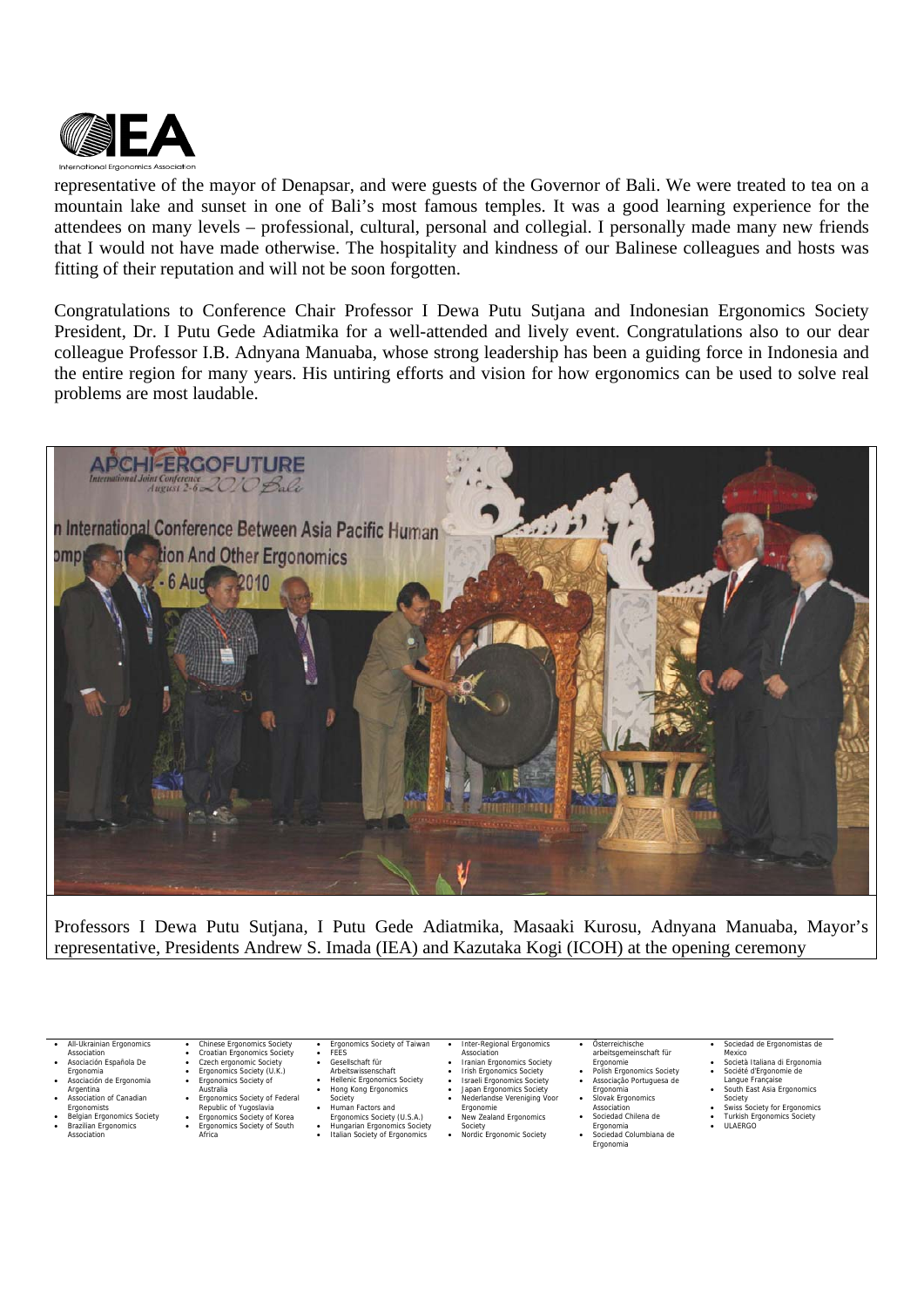

representative of the mayor of Denapsar, and were guests of the Governor of Bali. We were treated to tea on a mountain lake and sunset in one of Bali's most famous temples. It was a good learning experience for the attendees on many levels – professional, cultural, personal and collegial. I personally made many new friends that I would not have made otherwise. The hospitality and kindness of our Balinese colleagues and hosts was fitting of their reputation and will not be soon forgotten.

Congratulations to Conference Chair Professor I Dewa Putu Sutjana and Indonesian Ergonomics Society President, Dr. I Putu Gede Adiatmika for a well-attended and lively event. Congratulations also to our dear colleague Professor I.B. Adnyana Manuaba, whose strong leadership has been a guiding force in Indonesia and the entire region for many years. His untiring efforts and vision for how ergonomics can be used to solve real problems are most laudable.



Professors I Dewa Putu Sutjana, I Putu Gede Adiatmika, Masaaki Kurosu, Adnyana Manuaba, Mayor's representative, Presidents Andrew S. Imada (IEA) and Kazutaka Kogi (ICOH) at the opening ceremony

• All-Ukrainian Ergonomics

- Association
- Asociación Española De
- 
- Ergonomia Asociación de Ergonomia Argentina Association of Canadian
- Ergonomists • Belgian Ergonomics Society
- Brazilian Ergonomics **Association**
- Croatian Ergonomics Society Czech ergonomic Society Ergonomics Society (U.K.) Ergonomics Society of
- 
- Australia Ergonomics Society of Federal

• Chinese Ergonomics Society

- Republic of Yugoslavia Ergonomics Society of Korea
- Ergonomics Society of South Africa
- Ergonomics Society of Taiwan Inter-Regional Ergonomics<br>Association
- Gesellschaft für
- Arbeitswissenschaft Hellenic Ergonomics Society Hong Kong Ergonomics
- Society Human Factors and

• FEES

- Ergonomics Society (U.S.A.)
- Hungarian Ergonomics Society Italian Society of Ergonomics
- Association Iranian Ergonomics Society Irish Ergonomics Society Israeli Ergonomics Society Japan Ergonomics Society Nederlandse Vereniging Voor
	- -
	- Ergonomie • New Zealand Ergonomics
- Society Nordic Ergonomic Society • Sociedad Chilena de Ergonomia • Sociedad Columbiana de Ergonomia

• Österreichische<br>
• Ergonomie<br>
• Polish Ergonomics Society<br>
• Associação Portuguesa de<br>
• Ergonomia<br>
• Slovak Ergonomics

Association

#### • Sociedad de Ergonomistas de **Mexico**

- Società Italiana di Ergonomia
- 
- Société d'Ergonomie de Langue Française South East Asia Ergonomics Society Swiss Society for Ergonomics
- 
- Turkish Ergonomics Society
- ULAERGO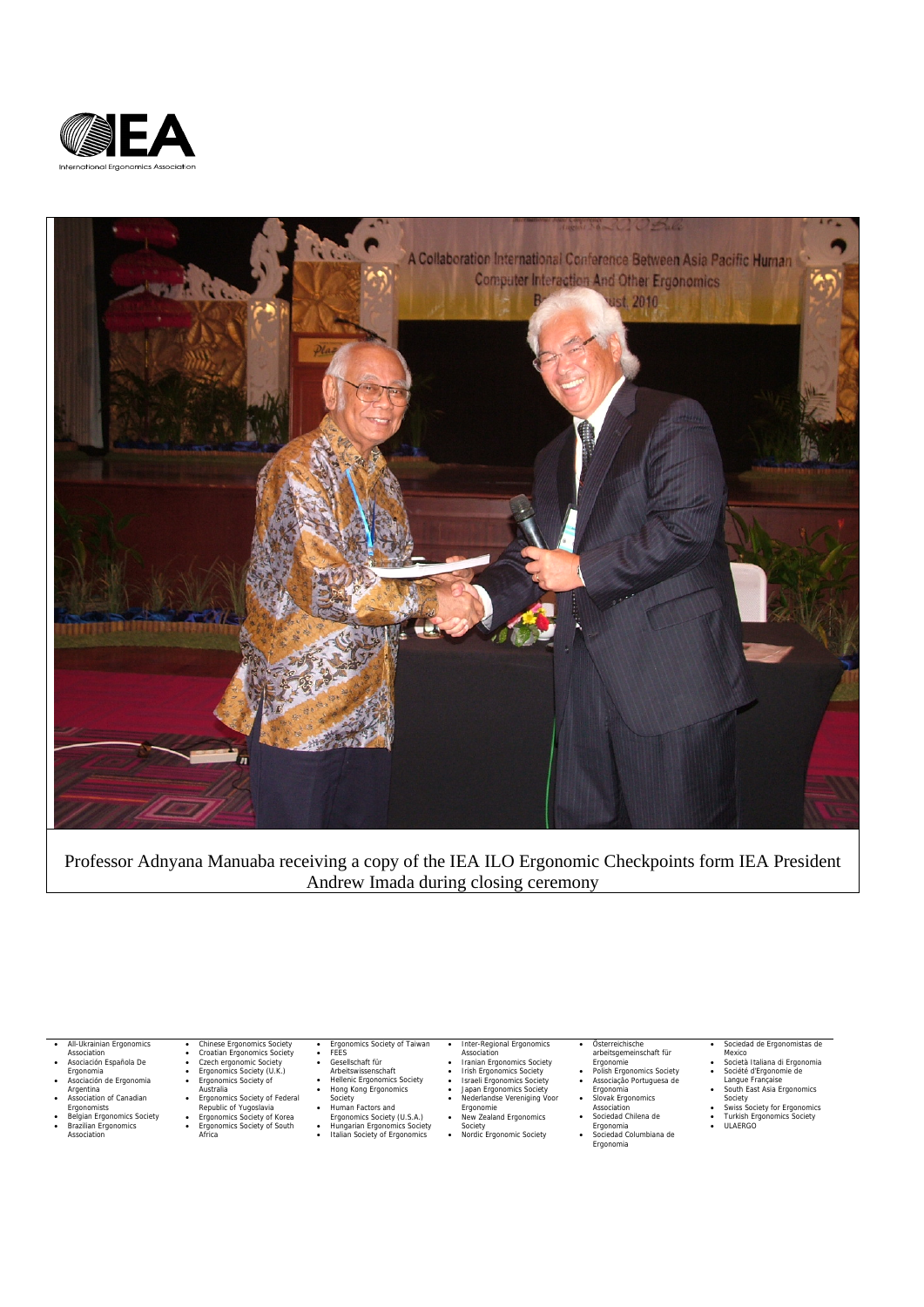



Professor Adnyana Manuaba receiving a copy of the IEA ILO Ergonomic Checkpoints form IEA President Andrew Imada during closing ceremony

• All-Ukrainian Ergonomics

- Association Asociación Española De
- 
- 
- 
- Ergonomia Asociación de Ergonomia Argentina Association of Canadian Ergonomists
- Belgian Ergonomics Society Brazilian Ergonomics Association
- Chinese Ergonomics Society<br>• Croatian Ergonomics Society<br>• Czech ergonomic Society (U.K.)<br>• Ergonomics Society of Kustralia<br>• Ergonomics Society of Federal<br>• Ergonomics Society of Tederal<br>• Reponomics Society of Korea<br>•

- Ergonomics Society of Taiwan<br>• Gesellschaft für<br>• Arbeitswissenschaft<br>• Hellenic Ergonomics Society<br>• Hong Kong Ergonomics<br>• Human Factors and<br>• Society
	-
	-
- Ergonomics Society (U.S.A.) Hungarian Ergonomics Society Italian Society of Ergonomics
	-

- 
- 
- Ergonomie New Zealand Ergonomics
- Society Nordic Ergonomic Society

- Österreichische<br>
 Polish Ergonomie<br>
 Polish Ergonomics Society<br>
 Associação Portuguesa de<br>
 Ergonomia<br>
 Siovak Ergonomics<br>
 Sociedad Chilena de<br>
 Sociedad Chilena de
- -
- Ergonomia Sociedad Columbiana de Ergonomia
- 

#### • Sociedad de Ergonomistas de

- Mexico 11<br>
 Società Italiana di Ergonomia<br>
 Società d'Ergonomie de Langue Française<br>
 South East Asia Ergonomics<br>
 Society for Ergonomics<br>
 Turkish Ergonomics Society
- 
- 
- 
- Society<br>• Swiss Soci<br>• Turkish Er<br>• ULAERGO

• Inter-Regional Ergonomics<br>
• Iranian Ergonomics Society<br>
• Irish Ergonomics Society<br>
• Israeli Ergonomics Society<br>
• Japan Ergonomics Society<br>
• Aederlandse Vereniging Voor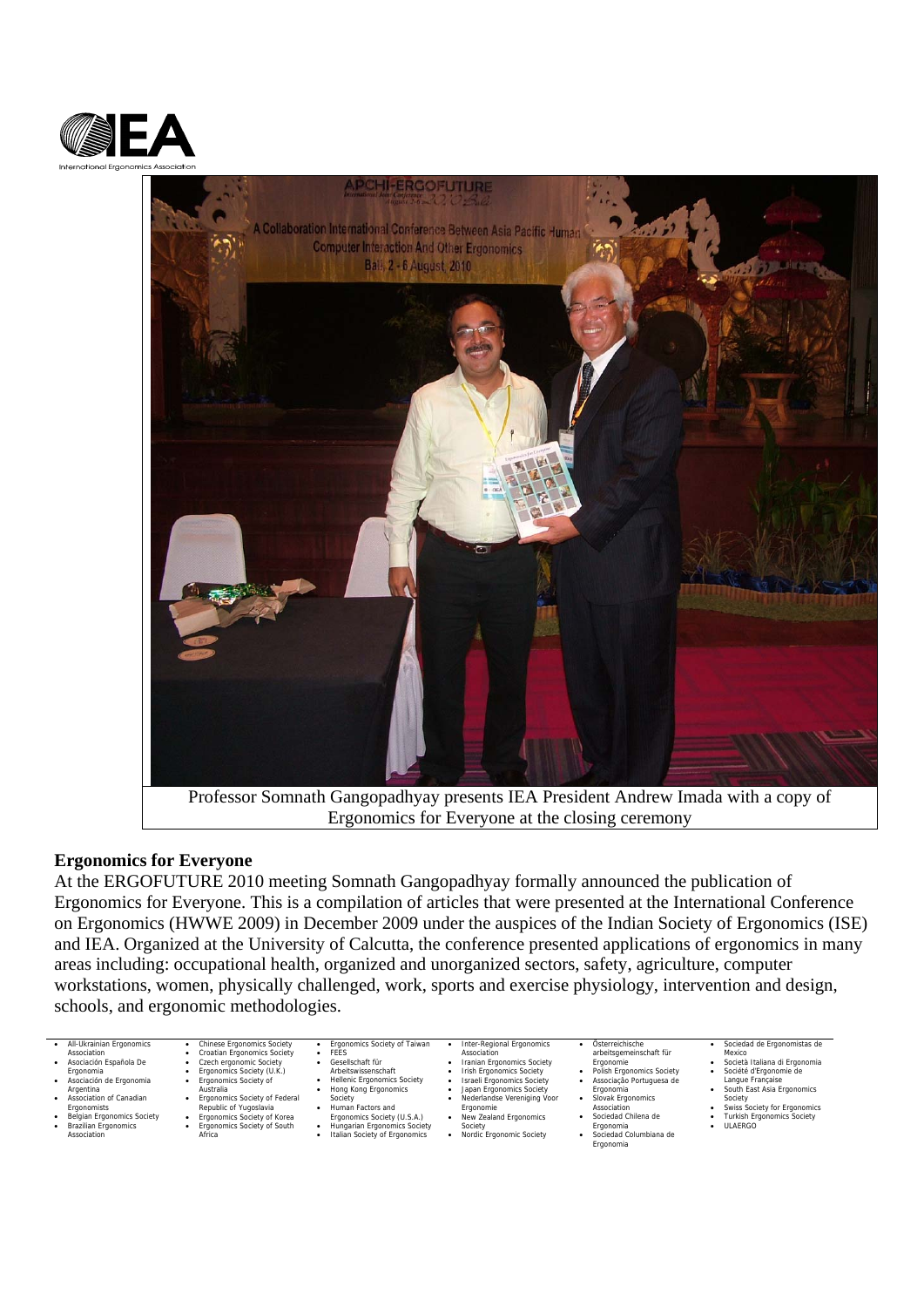



Professor Somnath Gangopadhyay presents IEA President Andrew Imada with a copy of Ergonomics for Everyone at the closing ceremony

## **Ergonomics for Everyone**

At the ERGOFUTURE 2010 meeting Somnath Gangopadhyay formally announced the publication of Ergonomics for Everyone. This is a compilation of articles that were presented at the International Conference on Ergonomics (HWWE 2009) in December 2009 under the auspices of the Indian Society of Ergonomics (ISE) and IEA. Organized at the University of Calcutta, the conference presented applications of ergonomics in many areas including: occupational health, organized and unorganized sectors, safety, agriculture, computer workstations, women, physically challenged, work, sports and exercise physiology, intervention and design, schools, and ergonomic methodologies.

- All-Ukrainian Ergonomics
- Association • Asociación Española De
- 
- Ergonomia Asociación de Ergonomia Argentina Association of Canadian
- Ergonomists
- Belgian Ergonomics Society • Brazilian Ergonomics
- **Association**
- Chinese Ergonomics Society • Croatian Ergonomics Society • Czech ergonomic Society • Ergonomics Society (U.K.) • Ergonomics Society of
- 
- - Australia Ergonomics Society of Federal Republic of Yugoslavia Ergonomics Society of Korea
		-
		- Ergonomics Society of South Africa
- Ergonomics Society of Taiwan • Gesellschaft für
- Arbeitswissenschaft Hellenic Ergonomics Society Hong Kong Ergonomics
- 

 $\cdot$  FEES

- Society Human Factors and
	- Ergonomics Society (U.S.A.)
- Hungarian Ergonomics Society Italian Society of Ergonomics Society • Nordic Ergonomic Society

# Inter-Regional Ergonomics<br>Association Association • Iranian Ergonomics Society • Irish Ergonomics Society • Israeli Ergonomics Society • Japan Ergonomics Society • Nederlandse Vereniging Voor

Ergonomie • New Zealand Ergonomics

- 
- Österreichische<br>
 Ergonomie<br>
 Polish Ergonomics Society<br>
 Associação Portuguesa de<br>
 Ergonomia<br>
 Slovak Ergonomics
	- -
	- Association Sociedad Chilena de Ergonomia
	- Sociedad Columbiana de Ergonomia
- Sociedad de Ergonomistas de Mexico<br>Mexico<br>Società Italiana di Froonomia
- -
- Società Italiana di Ergonomia Société d'Ergonomie de Langue Française South East Asia Ergonomics Society Swiss Society for Ergonomics
- 
- Turkish Ergonomics Society ULAERGO
-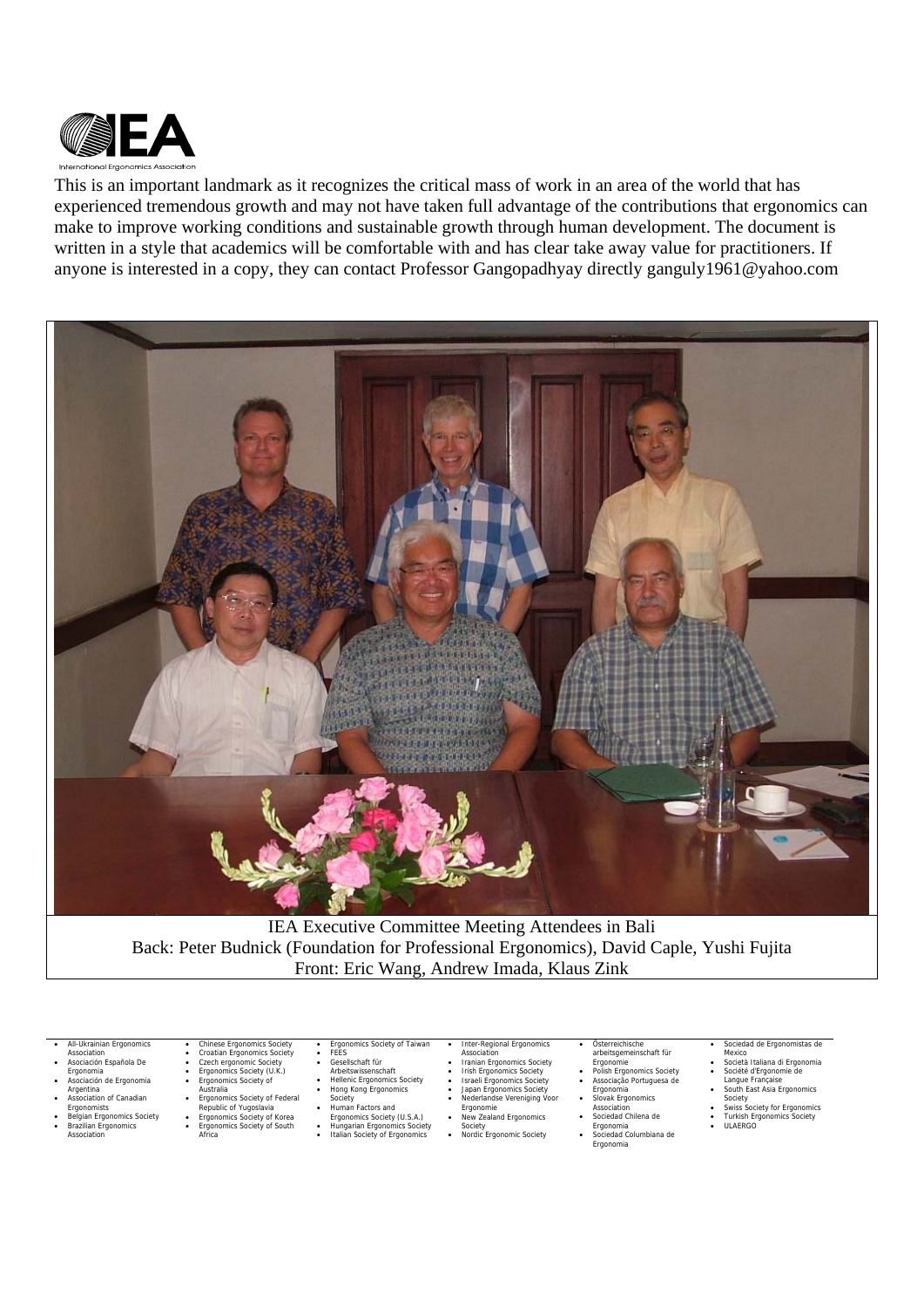

This is an important landmark as it recognizes the critical mass of work in an area of the world that has experienced tremendous growth and may not have taken full advantage of the contributions that ergonomics can make to improve working conditions and sustainable growth through human development. The document is written in a style that academics will be comfortable with and has clear take away value for practitioners. If anyone is interested in a copy, they can contact Professor Gangopadhyay directly ganguly1961@yahoo.com



IEA Executive Committee Meeting Attendees in Bali Back: Peter Budnick (Foundation for Professional Ergonomics), David Caple, Yushi Fujita Front: Eric Wang, Andrew Imada, Klaus Zink

- All-Ukrainian Ergonomics
- Association
- Asociación Española De
- 
- Ergonomia Asociación de Ergonomia Argentina Association of Canadian
- Ergonomists • Belgian Ergonomics Society
- Brazilian Ergonomics **Association**
- 
- Croatian Ergonomics Society Czech ergonomic Society Ergonomics Society (U.K.) Ergonomics Society of

• Chinese Ergonomics Society

- -
- Australia Ergonomics Society of Federal Republic of Yugoslavia Ergonomics Society of Korea
- Ergonomics Society of South Africa
- **Ergonomics Society of Taiwan**
- FEES Gesellschaft für Arbeitswissenschaft Hellenic Ergonomics Society Hong Kong Ergonomics
	-
- 
- Society Human Factors and
	- Ergonomics Society (U.S.A.)
- Hungarian Ergonomics Society Italian Society of Ergonomics
- Inter-Regional Ergonomics<br>Association
- -
- Association Iranian Ergonomics Society Irish Ergonomics Society Israeli Ergonomics Society Japan Ergonomics Society Nederlandse Vereniging Voor
- Ergonomie • New Zealand Ergonomics
- Society Nordic Ergonomic Society
- 
- Österreichische<br>
 Ergonomie<br>
 Polish Ergonomics Society<br>
 Associação Portuguesa de<br>
 Ergonomia<br>
 Slovak Ergonomics
	- -
	- Association Sociedad Chilena de
	- Ergonomia • Sociedad Columbiana de Ergonomia

#### Sociedad de Ergonomistas de

- Mexico<br>Mexico<br>Società Italiana di Froonomia
- 
- Società Italiana di Ergonomia Société d'Ergonomie de Langue Française South East Asia Ergonomics Society Swiss Society for Ergonomics
- 
- Turkish Ergonomics Society ULAERGO